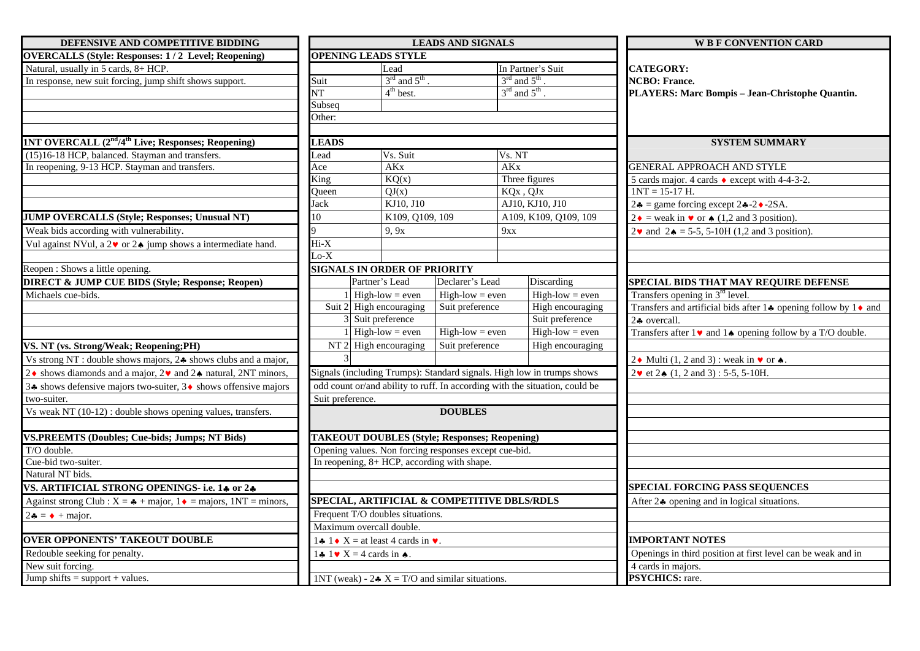| DEFENSIVE AND COMPETITIVE BIDDING                                                                      |                                                           |                                                 | <b>LEADS AND SIGNALS</b>                               |                                                                             | <b>W B F CONVENTION CARD</b>                                                         |  |  |
|--------------------------------------------------------------------------------------------------------|-----------------------------------------------------------|-------------------------------------------------|--------------------------------------------------------|-----------------------------------------------------------------------------|--------------------------------------------------------------------------------------|--|--|
| <b>OVERCALLS (Style: Responses: 1/2 Level; Reopening)</b>                                              | <b>OPENING LEADS STYLE</b>                                |                                                 |                                                        |                                                                             |                                                                                      |  |  |
| Natural, usually in 5 cards, 8+ HCP.                                                                   |                                                           | Lead                                            |                                                        | In Partner's Suit                                                           | <b>CATEGORY:</b>                                                                     |  |  |
| In response, new suit forcing, jump shift shows support.                                               | Suit                                                      | $3rd$ and $5th$                                 |                                                        | $3rd$ and $5th$ .                                                           | <b>NCBO</b> : France.                                                                |  |  |
|                                                                                                        | VТ                                                        | $4th$ best.                                     |                                                        | $3^{\text{rd}}$ and $5^{\text{th}}$ .                                       | PLAYERS: Marc Bompis - Jean-Christophe Quantin.                                      |  |  |
|                                                                                                        | Subseq                                                    |                                                 |                                                        |                                                                             |                                                                                      |  |  |
|                                                                                                        | Other:                                                    |                                                 |                                                        |                                                                             |                                                                                      |  |  |
|                                                                                                        |                                                           |                                                 |                                                        |                                                                             |                                                                                      |  |  |
| 1NT OVERCALL (2 <sup>nd</sup> /4 <sup>th</sup> Live; Responses; Reopening)                             | <b>LEADS</b>                                              |                                                 |                                                        |                                                                             | <b>SYSTEM SUMMARY</b>                                                                |  |  |
| (15)16-18 HCP, balanced. Stayman and transfers.                                                        | ead                                                       | Vs. Suit                                        |                                                        | Vs. NT                                                                      |                                                                                      |  |  |
| In reopening, 9-13 HCP. Stayman and transfers.                                                         | Ace                                                       | <b>AK</b> <sub>x</sub><br><b>AK<sub>x</sub></b> |                                                        |                                                                             | <b>GENERAL APPROACH AND STYLE</b>                                                    |  |  |
|                                                                                                        | King                                                      | KQ(x)                                           |                                                        | Three figures                                                               | 5 cards major. 4 cards $\bullet$ except with 4-4-3-2.                                |  |  |
|                                                                                                        | Oueen                                                     | QJ(x)                                           |                                                        | KQx, QJx                                                                    | $1NT = 15-17 H.$                                                                     |  |  |
|                                                                                                        | Jack                                                      | KJ10, J10                                       |                                                        | AJ10, KJ10, J10                                                             | $2\clubsuit$ = game forcing except 2 $\clubsuit$ -2 $\bullet$ -2SA.                  |  |  |
| <b>JUMP OVERCALLS (Style; Responses; Unusual NT)</b>                                                   | 10                                                        | K109, Q109, 109                                 |                                                        | A109, K109, Q109, 109                                                       | $2\bullet$ = weak in $\bullet$ or $\bullet$ (1,2 and 3 position).                    |  |  |
| Weak bids according with vulnerability.                                                                |                                                           | 9, 9x                                           |                                                        | 9xx                                                                         | $2\bullet$ and $2\bullet = 5-5$ , 5-10H (1,2 and 3 position).                        |  |  |
| Vul against NVul, a $2\blacktriangledown$ or $2\blacktriangle$ jump shows a intermediate hand.         | $Hi-X$                                                    |                                                 |                                                        |                                                                             |                                                                                      |  |  |
|                                                                                                        | $Lo-X$                                                    |                                                 |                                                        |                                                                             |                                                                                      |  |  |
| Reopen : Shows a little opening.                                                                       | <b>SIGNALS IN ORDER OF PRIORITY</b>                       |                                                 |                                                        |                                                                             |                                                                                      |  |  |
| <b>DIRECT &amp; JUMP CUE BIDS (Style; Response; Reopen)</b>                                            |                                                           | Partner's Lead                                  | Declarer's Lead                                        | Discarding                                                                  | SPECIAL BIDS THAT MAY REQUIRE DEFENSE                                                |  |  |
| Michaels cue-bids.                                                                                     | $\left $ High-low = even                                  |                                                 | $High-low = even$                                      | $High-low = even$                                                           | Transfers opening in $3rd$ level.                                                    |  |  |
|                                                                                                        |                                                           | Suit 2 High encouraging                         | Suit preference                                        | High encouraging                                                            | Transfers and artificial bids after $1\clubsuit$ opening follow by $1\spadesuit$ and |  |  |
|                                                                                                        |                                                           | 3 Suit preference                               |                                                        | Suit preference                                                             | $2$ overcall.                                                                        |  |  |
|                                                                                                        |                                                           | $High-low = even$                               | $High-low = even$                                      | $High-low = even$                                                           | Transfers after $1 \vee$ and $1 \triangle$ opening follow by a T/O double.           |  |  |
| VS. NT (vs. Strong/Weak; Reopening;PH)                                                                 |                                                           | $NT2$ High encouraging                          | Suit preference                                        | High encouraging                                                            |                                                                                      |  |  |
| Vs strong NT : double shows majors, 24 shows clubs and a major,                                        |                                                           |                                                 |                                                        |                                                                             | 2. Multi (1, 2 and 3): weak in $\triangledown$ or $\triangle$ .                      |  |  |
| 2◆ shows diamonds and a major, 2◆ and 2◆ natural, 2NT minors,                                          |                                                           |                                                 |                                                        | Signals (including Trumps): Standard signals. High low in trumps shows      | $2\mathbf{v}$ et $2\mathbf{A}$ (1, 2 and 3): 5-5, 5-10H.                             |  |  |
| 3↑ shows defensive majors two-suiter, 3◆ shows offensive majors                                        |                                                           |                                                 |                                                        | odd count or/and ability to ruff. In according with the situation, could be |                                                                                      |  |  |
| two-suiter.                                                                                            | Suit preference.                                          |                                                 |                                                        |                                                                             |                                                                                      |  |  |
| Vs weak NT (10-12) : double shows opening values, transfers.                                           |                                                           |                                                 | <b>DOUBLES</b>                                         |                                                                             |                                                                                      |  |  |
|                                                                                                        |                                                           |                                                 |                                                        |                                                                             |                                                                                      |  |  |
| <b>VS.PREEMTS (Doubles; Cue-bids; Jumps; NT Bids)</b>                                                  | <b>TAKEOUT DOUBLES (Style; Responses; Reopening)</b>      |                                                 |                                                        |                                                                             |                                                                                      |  |  |
| T/O double.                                                                                            |                                                           |                                                 | Opening values. Non forcing responses except cue-bid.  |                                                                             |                                                                                      |  |  |
| Cue-bid two-suiter.                                                                                    | In reopening, $8+ HCP$ , according with shape.            |                                                 |                                                        |                                                                             |                                                                                      |  |  |
| Natural NT bids.                                                                                       |                                                           |                                                 |                                                        |                                                                             |                                                                                      |  |  |
| VS. ARTIFICIAL STRONG OPENINGS- i.e. 14 or 24                                                          |                                                           |                                                 |                                                        |                                                                             | <b>SPECIAL FORCING PASS SEQUENCES</b>                                                |  |  |
| Against strong Club : $X = \clubsuit + \text{major}, 1 \spadesuit = \text{major}, 1NT = \text{minor},$ |                                                           |                                                 |                                                        | SPECIAL, ARTIFICIAL & COMPETITIVE DBLS/RDLS                                 | After 24 opening and in logical situations.                                          |  |  |
| $2\bullet = \bullet + \text{major.}$                                                                   | Frequent T/O doubles situations.                          |                                                 |                                                        |                                                                             |                                                                                      |  |  |
|                                                                                                        | Maximum overcall double.                                  |                                                 |                                                        |                                                                             |                                                                                      |  |  |
| <b>OVER OPPONENTS' TAKEOUT DOUBLE</b>                                                                  | 1.4 1.6 $X =$ at least 4 cards in $\blacktriangleright$ . |                                                 |                                                        |                                                                             | <b>IMPORTANT NOTES</b>                                                               |  |  |
| Redouble seeking for penalty.                                                                          | 1. $1 \cdot X = 4$ cards in $\bullet$ .                   |                                                 |                                                        |                                                                             | Openings in third position at first level can be weak and in                         |  |  |
| New suit forcing.                                                                                      |                                                           |                                                 |                                                        |                                                                             | 4 cards in majors.                                                                   |  |  |
| Jump shifts = support + values.                                                                        |                                                           |                                                 | 1NT (weak) - $2 \cdot X = T/O$ and similar situations. |                                                                             | PSYCHICS: rare.                                                                      |  |  |